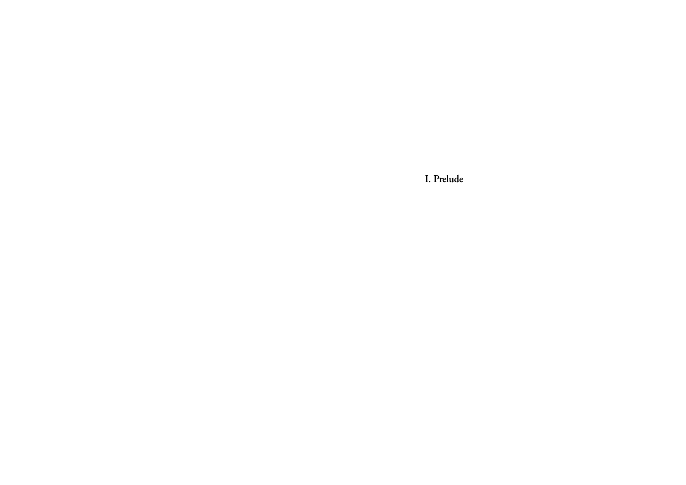**I. Prelude**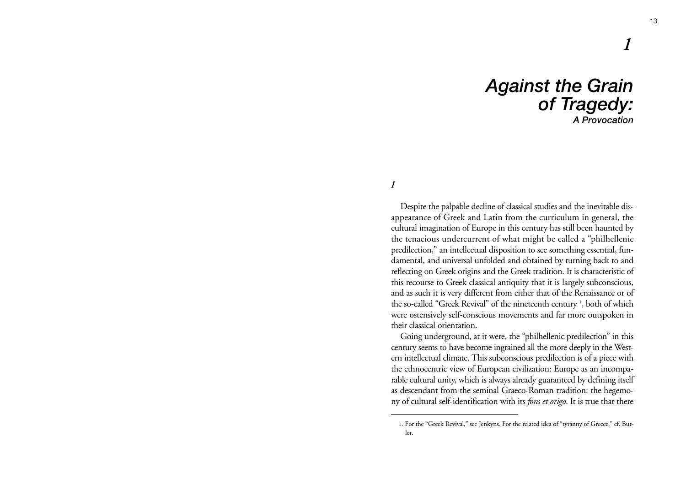# *Against the Grain of Tragedy: A Provocation*

*I*

Despite the palpable decline of classical studies and the inevitable disappearance of Greek and Latin from the curriculum in general, the cultural imagination of Europe in this century has still been haunted by the tenacious undercurrent of what might be called a "philhellenic predilection," an intellectual disposition to see something essential, fundamental, and universal unfolded and obtained by turning back to and reflecting on Greek origins and the Greek tradition. It is characteristic of this recourse to Greek classical antiquity that it is largely subconscious, and as such it is very different from either that of the Renaissance or of the so-called "Greek Revival" of the nineteenth century **<sup>1</sup>**, both of which were ostensively self-conscious movements and far more outspoken in their classical orientation.

Going underground, at it were, the "philhellenic predilection" in this century seems to have become ingrained all the more deeply in the Western intellectual climate. This subconscious predilection is of a piece with the ethnocentric view of European civilization: Europe as an incomparable cultural unity, which is always already guaranteed by defining itself as descendant from the seminal Graeco-Roman tradition: the hegemony of cultural self-identification with its *fons et origo*. It is true that there

*1*

<sup>1.</sup> For the "Greek Revival," see Jenkyns. For the related idea of "tyranny of Greece," cf. Butler.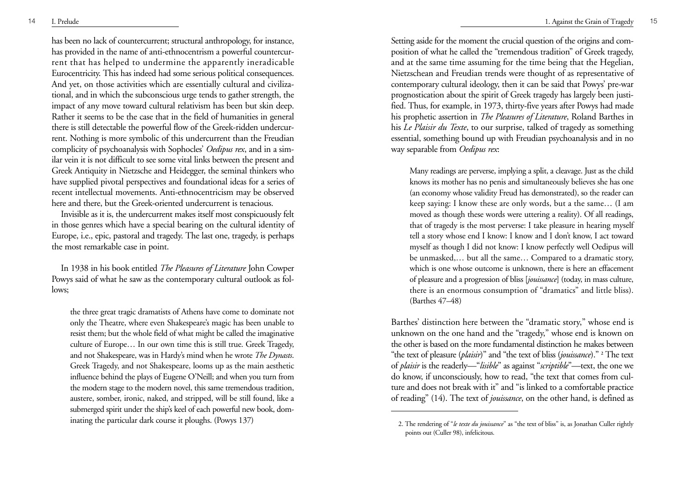has been no lack of countercurrent; structural anthropology, for instance, has provided in the name of anti-ethnocentrism a powerful countercurrent that has helped to undermine the apparently ineradicable Eurocentricity. This has indeed had some serious political consequences. And yet, on those activities which are essentially cultural and civilizational, and in which the subconscious urge tends to gather strength, the impact of any move toward cultural relativism has been but skin deep. Rather it seems to be the case that in the field of humanities in general there is still detectable the powerful flow of the Greek-ridden undercurrent. Nothing is more symbolic of this undercurrent than the Freudian complicity of psychoanalysis with Sophocles' *Oedipus rex*, and in a similar vein it is not difficult to see some vital links between the present and Greek Antiquity in Nietzsche and Heidegger, the seminal thinkers who have supplied pivotal perspectives and foundational ideas for a series of recent intellectual movements. Anti-ethnocentricism may be observed here and there, but the Greek-oriented undercurrent is tenacious.

Invisible as it is, the undercurrent makes itself most conspicuously felt in those genres which have a special bearing on the cultural identity of Europe, i.e., epic, pastoral and tragedy. The last one, tragedy, is perhaps the most remarkable case in point.

In 1938 in his book entitled *The Pleasures of Literature* John Cowper Powys said of what he saw as the contemporary cultural outlook as follows;

the three great tragic dramatists of Athens have come to dominate not only the Theatre, where even Shakespeare's magic has been unable to resist them; but the whole field of what might be called the imaginative culture of Europe… In our own time this is still true. Greek Tragedy, and not Shakespeare, was in Hardy's mind when he wrote *The Dynasts*. Greek Tragedy, and not Shakespeare, looms up as the main aesthetic influence behind the plays of Eugene O'Neill; and when you turn from the modern stage to the modern novel, this same tremendous tradition, austere, somber, ironic, naked, and stripped, will be still found, like a submerged spirit under the ship's keel of each powerful new book, dominating the particular dark course it ploughs. (Powys 137)

Setting aside for the moment the crucial question of the origins and composition of what he called the "tremendous tradition" of Greek tragedy, and at the same time assuming for the time being that the Hegelian, Nietzschean and Freudian trends were thought of as representative of contemporary cultural ideology, then it can be said that Powys' pre-war prognostication about the spirit of Greek tragedy has largely been justified. Thus, for example, in 1973, thirty-five years after Powys had made his prophetic assertion in *The Pleasures of Literature*, Roland Barthes in his *Le Plaisir du Texte*, to our surprise, talked of tragedy as something essential, something bound up with Freudian psychoanalysis and in no way separable from *Oedipus rex*:

Many readings are perverse, implying a split, a cleavage. Just as the child knows its mother has no penis and simultaneously believes she has one (an economy whose validity Freud has demonstrated), so the reader can keep saying: I know these are only words, but a the same… (I am moved as though these words were uttering a reality). Of all readings, that of tragedy is the most perverse: I take pleasure in hearing myself tell a story whose end I know: I know and I don't know, I act toward myself as though I did not know: I know perfectly well Oedipus will be unmasked,… but all the same… Compared to a dramatic story, which is one whose outcome is unknown, there is here an effacement of pleasure and a progression of bliss [*jouissance*] (today, in mass culture, there is an enormous consumption of "dramatics" and little bliss). (Barthes 47–48)

Barthes' distinction here between the "dramatic story," whose end is unknown on the one hand and the "tragedy," whose end is known on the other is based on the more fundamental distinction he makes between "the text of pleasure (*plaisir*)" and "the text of bliss (*jouissance*)." **<sup>2</sup>** The text of *plaisir* is the readerly—"*lisible*" as against "*scriptible*"—text, the one we do know, if unconsciously, how to read, "the text that comes from culture and does not break with it" and "is linked to a comfortable practice of reading" (14). The text of *jouissance*, on the other hand, is defined as

<sup>2.</sup> The rendering of "*le texte du jouissance*" as "the text of bliss" is, as Jonathan Culler rightly points out (Culler 98), infelicitous.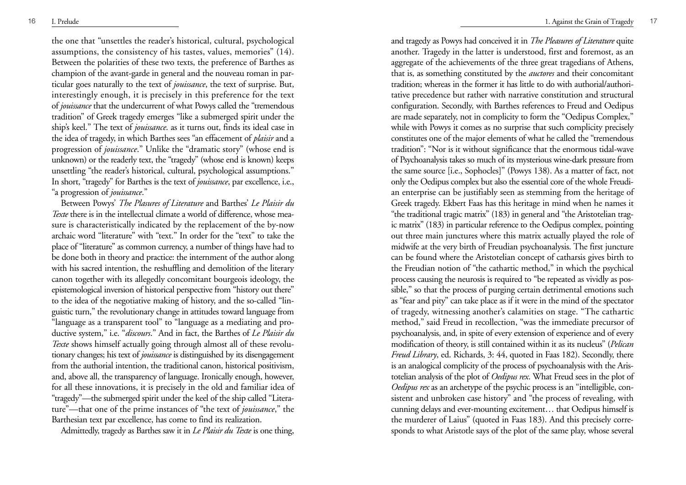the one that "unsettles the reader's historical, cultural, psychological assumptions, the consistency of his tastes, values, memories" (14). Between the polarities of these two texts, the preference of Barthes as champion of the avant-garde in general and the nouveau roman in particular goes naturally to the text of *jouissance*, the text of surprise. But, interestingly enough, it is precisely in this preference for the text of *jouissance* that the undercurrent of what Powys called the "tremendous tradition" of Greek tragedy emerges "like a submerged spirit under the ship's keel." The text of *jouissance*. as it turns out, finds its ideal case in the idea of tragedy, in which Barthes sees "an effacement of *plaisir* and a progression of *jouissance*." Unlike the "dramatic story" (whose end is unknown) or the readerly text, the "tragedy" (whose end is known) keeps unsettling "the reader's historical, cultural, psychological assumptions." In short, "tragedy" for Barthes is the text of *jouissance*, par excellence, i.e., "a progression of *jouissance*."

Between Powys' *The Plasures of Literature* and Barthes' *Le Plaisir du Texte* there is in the intellectual climate a world of difference, whose measure is characteristically indicated by the replacement of the by-now archaic word "literature" with "text." In order for the "text" to take the <sup>p</sup>lace of "literature" as common currency, a number of things have had to be done both in theory and practice: the internment of the author along with his sacred intention, the reshuffling and demolition of the literary canon together with its allegedly concomitant bourgeois ideology, the epistemological inversion of historical perspective from "history out there" to the idea of the negotiative making of history, and the so-called "linguistic turn," the revolutionary change in attitudes toward language from "language as a transparent tool" to "language as a mediating and productive system," i.e. "*discours*." And in fact, the Barthes of *Le Plaisir du Texte* shows himself actually going through almost all of these revolutionary changes; his text of *jouissance* is distinguished by its disengagement from the authorial intention, the traditional canon, historical positivism, and, above all, the transparency of language. Ironically enough, however, for all these innovations, it is precisely in the old and familiar idea of "tragedy"—the submerged spirit under the keel of the ship called "Literature"—that one of the prime instances of "the text of *jouissance*," the Barthesian text par excellence, has come to find its realization.

Admittedly, tragedy as Barthes saw it in *Le Plaisir du Texte* is one thing,

and tragedy as Powys had conceived it in *The Pleasures of Literature* quite another. Tragedy in the latter is understood, first and foremost, as an aggregate of the achievements of the three great tragedians of Athens, that is, as something constituted by the *auctores* and their concomitant tradition; whereas in the former it has little to do with authorial/authoritative precedence but rather with narrative constitution and structural configuration. Secondly, with Barthes references to Freud and Oedipus are made separately, not in complicity to form the "Oedipus Complex," while with Powys it comes as no surprise that such complicity precisely constitutes one of the major elements of what he called the "tremendous tradition": "Nor is it without significance that the enormous tidal-wave of Psychoanalysis takes so much of its mysterious wine-dark pressure from the same source [i.e., Sophocles]" (Powys 138). As a matter of fact, not only the Oedipus complex but also the essential core of the whole Freudian enterprise can be justifiably seen as stemming from the heritage of Greek tragedy. Ekbert Faas has this heritage in mind when he names it "the traditional tragic matrix" (183) in general and "the Aristotelian tragic matrix" (183) in particular reference to the Oedipus complex, pointing out three main junctures where this matrix actually played the role of midwife at the very birth of Freudian psychoanalysis. The first juncture can be found where the Aristotelian concept of catharsis gives birth to the Freudian notion of "the cathartic method," in which the psychical process causing the neurosis is required to "be repeated as vividly as possible," so that the process of purging certain detrimental emotions such as "fear and pity" can take place as if it were in the mind of the spectator of tragedy, witnessing another's calamities on stage. "The cathartic method," said Freud in recollection, "was the immediate precursor of psychoanalysis, and, in spite of every extension of experience and of every modification of theory, is still contained within it as its nucleus" ( *Pelican Freud Library*, ed. Richards, 3: 44, quoted in Faas 182). Secondly, there is an analogical complicity of the process of psychoanalysis with the Aristotelian analysis of the plot of *Oedipus rex*. What Freud sees in the plot of *Oedipus rex* as an archetype of the psychic process is an "intelligible, consistent and unbroken case history" and "the process of revealing, with cunning delays and ever-mounting excitement… that Oedipus himself is the murderer of Laius" (quoted in Faas 183). And this precisely corresponds to what Aristotle says of the plot of the same play, whose several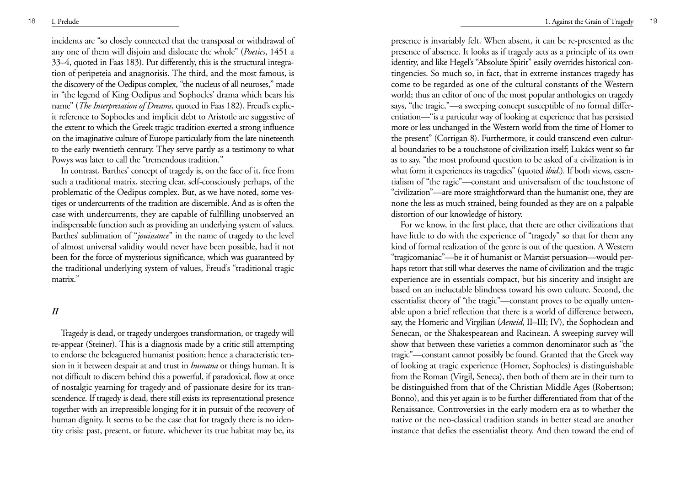incidents are "so closely connected that the transposal or withdrawal of any one of them will disjoin and dislocate the whole" ( *Poetics*, 1451 a 33–4, quoted in Faas 183). Put differently, this is the structural integration of peripeteia and anagnorisis. The third, and the most famous, is the discovery of the Oedipus complex, "the nucleus of all neuroses," made in "the legend of King Oedipus and Sophocles' drama which bears his name" (*The Interpretation of Dreams*, quoted in Faas 182). Freud's explicit reference to Sophocles and implicit debt to Aristotle are suggestive of the extent to which the Greek tragic tradition exerted a strong influence on the imaginative culture of Europe particularly from the late nineteenth to the early twentieth century. They serve partly as a testimony to what Powys was later to call the "tremendous tradition."

In contrast, Barthes' concept of tragedy is, on the face of it, free from such a traditional matrix, steering clear, self-consciously perhaps, of the problematic of the Oedipus complex. But, as we have noted, some vestiges or undercurrents of the tradition are discernible. And as is often the case with undercurrents, they are capable of fulfilling unobserved an indispensable function such as providing an underlying system of values. Barthes' sublimation of "*jouissance*" in the name of tragedy to the level of almost universal validity would never have been possible, had it not been for the force of mysterious significance, which was guaranteed by the traditional underlying system of values, Freud's "traditional tragic matrix."

### *II*

Tragedy is dead, or tragedy undergoes transformation, or tragedy will re-appear (Steiner). This is a diagnosis made by a critic still attempting to endorse the beleaguered humanist position; hence a characteristic tension in it between despair at and trust in *humana* or things human. It is not difficult to discern behind this a powerful, if paradoxical, flow at once of nostalgic yearning for tragedy and of passionate desire for its transcendence. If tragedy is dead, there still exists its representational presence together with an irrepressible longing for it in pursuit of the recovery of human dignity. It seems to be the case that for tragedy there is no identity crisis: past, present, or future, whichever its true habitat may be, its presence is invariably felt. When absent, it can be re-presented as the presence of absence. It looks as if tragedy acts as a principle of its own identity, and like Hegel's "Absolute Spirit" easily overrides historical contingencies. So much so, in fact, that in extreme instances tragedy has come to be regarded as one of the cultural constants of the Western world; thus an editor of one of the most popular anthologies on tragedy says, "the tragic,"—a sweeping concept susceptible of no formal differentiation—"is a particular way of looking at experience that has persisted more or less unchanged in the Western world from the time of Homer to the present" (Corrigan 8). Furthermore, it could transcend even cultural boundaries to be a touchstone of civilization itself; Lukács went so far as to say, "the most profound question to be asked of a civilization is in what form it experiences its tragedies" (quoted *ibid*.). If both views, essentialism of "the ragic"—constant and universalism of the touchstone of "civilization"—are more straightforward than the humanist one, they are none the less as much strained, being founded as they are on a palpable distortion of our knowledge of history.

For we know, in the first place, that there are other civilizations that have little to do with the experience of "tragedy" so that for them any kind of formal realization of the genre is out of the question. A Western "tragicomaniac"—be it of humanist or Marxist persuasion—would perhaps retort that still what deserves the name of civilization and the tragic experience are in essentials compact, but his sincerity and insight are based on an ineluctable blindness toward his own culture. Second, the essentialist theory of "the tragic"—constant proves to be equally untenable upon a brief reflection that there is a world of difference between, say, the Homeric and Virgilian (*Aeneid*, II–III; IV), the Sophoclean and Senecan, or the Shakespearean and Racinean. A sweeping survey will show that between these varieties a common denominator such as "the tragic"—constant cannot possibly be found. Granted that the Greek way of looking at tragic experience (Homer, Sophocles) is distinguishable from the Roman (Virgil, Seneca), then both of them are in their turn to be distinguished from that of the Christian Middle Ages (Robertson; Bonno), and this yet again is to be further differentiated from that of the Renaissance. Controversies in the early modern era as to whether the native or the neo-classical tradition stands in better stead are another instance that defies the essentialist theory. And then toward the end of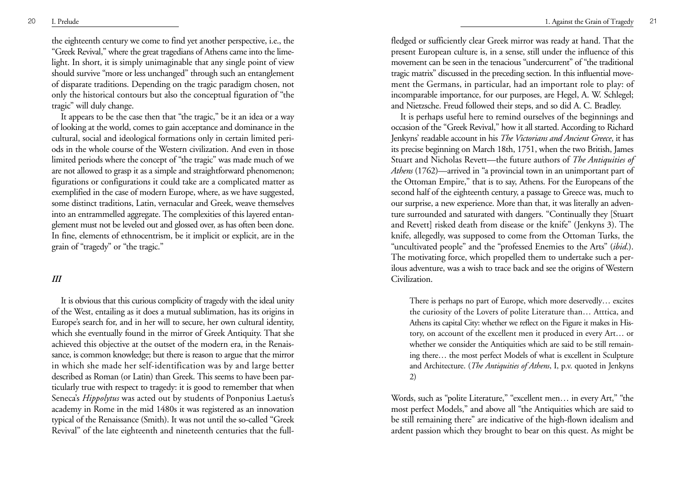the eighteenth century we come to find yet another perspective, i.e., the "Greek Revival," where the great tragedians of Athens came into the limelight. In short, it is simply unimaginable that any single point of view should survive "more or less unchanged" through such an entanglement of disparate traditions. Depending on the tragic paradigm chosen, not only the historical contours but also the conceptual figuration of "the tragic" will duly change.

It appears to be the case then that "the tragic," be it an idea or a way of looking at the world, comes to gain acceptance and dominance in the cultural, social and ideological formations only in certain limited periods in the whole course of the Western civilization. And even in those limited periods where the concept of "the tragic" was made much of we are not allowed to grasp it as a simple and straightforward phenomenon; figurations or configurations it could take are a complicated matter as exemplified in the case of modern Europe, where, as we have suggested, some distinct traditions, Latin, vernacular and Greek, weave themselves into an entrammelled aggregate. The complexities of this layered entanglement must not be leveled out and glossed over, as has often been done. In fine, elements of ethnocentrism, be it implicit or explicit, are in the grain of "tragedy" or "the tragic."

## *III*

It is obvious that this curious complicity of tragedy with the ideal unity of the West, entailing as it does a mutual sublimation, has its origins in Europe's search for, and in her will to secure, her own cultural identity, which she eventually found in the mirror of Greek Antiquity. That she achieved this objective at the outset of the modern era, in the Renaissance, is common knowledge; but there is reason to argue that the mirror in which she made her self-identification was by and large better described as Roman (or Latin) than Greek. This seems to have been particularly true with respect to tragedy: it is good to remember that when Seneca's *Hippolytus* was acted out by students of Ponponius Laetus's academy in Rome in the mid 1480s it was registered as an innovation typical of the Renaissance (Smith). It was not until the so-called "Greek Revival" of the late eighteenth and nineteenth centuries that the fullfledged or sufficiently clear Greek mirror was ready at hand. That the present European culture is, in a sense, still under the influence of this movement can be seen in the tenacious "undercurrent" of "the traditional tragic matrix" discussed in the preceding section. In this influential movement the Germans, in particular, had an important role to play: of incomparable importance, for our purposes, are Hegel, A. W. Schlegel; and Nietzsche. Freud followed their steps, and so did A. C. Bradley.

It is perhaps useful here to remind ourselves of the beginnings and occasion of the "Greek Revival," how it all started. According to Richard Jenkyns' readable account in his *The Victorians and Ancient Greece*, it has its precise beginning on March 18th, 1751, when the two British, James Stuart and Nicholas Revett—the future authors of *The Antiquities of Athens* (1762)—arrived in "a provincial town in an unimportant part of the Ottoman Empire," that is to say, Athens. For the Europeans of the second half of the eighteenth century, a passage to Greece was, much to our surprise, a new experience. More than that, it was literally an adventure surrounded and saturated with dangers. "Continually they [Stuart and Revett] risked death from disease or the knife" (Jenkyns 3). The knife, allegedly, was supposed to come from the Ottoman Turks, the "uncultivated people" and the "professed Enemies to the Arts" (*ibid*.). The motivating force, which propelled them to undertake such a perilous adventure, was a wish to trace back and see the origins of Western Civilization.

There is perhaps no part of Europe, which more deservedly… excites the curiosity of the Lovers of polite Literature than… Atttica, and Athens its capital City: whether we reflect on the Figure it makes in History, on account of the excellent men it produced in every Art… or whether we consider the Antiquities which are said to be still remaining there… the most perfect Models of what is excellent in Sculpture and Architecture. (*The Antiquities of Athens*, I, p.v. quoted in Jenkyns 2)

Words, such as "polite Literature," "excellent men… in every Art," "the most perfect Models," and above all "the Antiquities which are said to be still remaining there" are indicative of the high-flown idealism and ardent passion which they brought to bear on this quest. As might be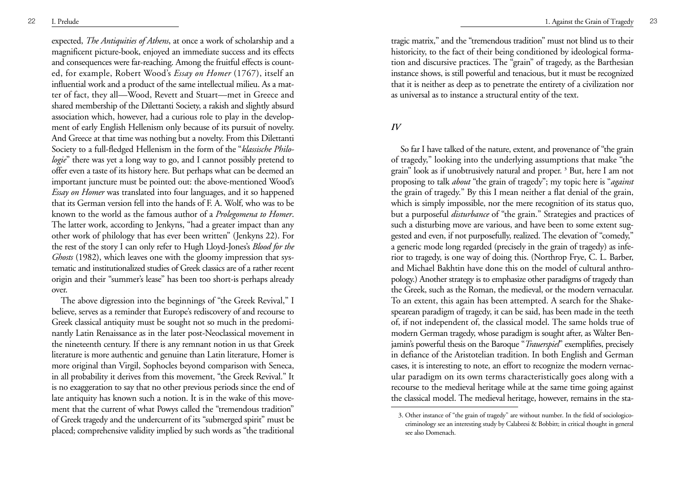expected, *The Antiquities of Athens*, at once a work of scholarship and a magnificent picture-book, enjoyed an immediate success and its effects and consequences were far-reaching. Among the fruitful effects is count ed, for example, Robert Wood's *Essay on Homer* (1767), itself an influential work and a product of the same intellectual milieu. As a matter of fact, they all—Wood, Revett and Stuart—met in Greece and shared membership of the Dilettanti Society, a rakish and slightly absurd association which, however, had a curious role to play in the development of early English Hellenism only because of its pursuit of novelty. And Greece at that time was nothing but a novelty. From this Dilettanti Society to a full-fledged Hellenism in the form of the "*klassische Philologie*" there was yet a long way to go, and I cannot possibly pretend to offer even a taste of its history here. But perhaps what can be deemed an important juncture must be pointed out: the above-mentioned Wood's *Essay on Homer* was translated into four languages, and it so happened that its German version fell into the hands of F. A. Wolf, who was to be known to the world as the famous author of a *Prolegomena to Homer*. The latter work, according to Jenkyns, "had a greater impact than any other work of philology that has ever been written" (Jenkyns 22). For the rest of the story I can only refer to Hugh Lloyd-Jones's *Blood for the Ghosts* (1982), which leaves one with the gloomy impression that systematic and institutionalized studies of Greek classics are of a rather recent origin and their "summer's lease" has been too short-is perhaps already over.

The above digression into the beginnings of "the Greek Revival," I believe, serves as a reminder that Europe's rediscovery of and recourse to Greek classical antiquity must be sought not so much in the predominantly Latin Renaissance as in the later post-Neoclassical movement in the nineteenth century. If there is any remnant notion in us that Greek literature is more authentic and genuine than Latin literature, Homer is more original than Virgil, Sophocles beyond comparison with Seneca, in all probability it derives from this movement, "the Greek Revival." It is no exaggeration to say that no other previous periods since the end of late antiquity has known such a notion. It is in the wake of this movement that the current of what Powys called the "tremendous tradition" of Greek tragedy and the undercurrent of its "submerged spirit" must be placed; comprehensive validity implied by such words as "the traditional

tragic matrix," and the "tremendous tradition" must not blind us to their historicity, to the fact of their being conditioned by ideological formation and discursive practices. The "grain" of tragedy, as the Barthesian instance shows, is still powerful and tenacious, but it must be recognized that it is neither as deep as to penetrate the entirety of a civilization nor as universal as to instance a structural entity of the text.

## *IV*

So far I have talked of the nature, extent, and provenance of "the grain of tragedy," looking into the underlying assumptions that make "the grain" look as if unobtrusively natural and proper. **<sup>3</sup>** But, here I am not proposing to talk *about* "the grain of tragedy"; my topic here is "*against* the grain of tragedy." By this I mean neither a flat denial of the grain, which is simply impossible, nor the mere recognition of its status quo, but a purposeful *disturbance* of "the grain." Strategies and practices of such a disturbing move are various, and have been to some extent suggested and even, if not purposefully, realized. The elevation of "comedy," a generic mode long regarded (precisely in the grain of tragedy) as inferior to tragedy, is one way of doing this. (Northrop Frye, C. L. Barber, and Michael Bakhtin have done this on the model of cultural anthropology.) Another strategy is to emphasize other paradigms of tragedy than the Greek, such as the Roman, the medieval, or the modern vernacular. To an extent, this again has been attempted. A search for the Shakespearean paradigm of tragedy, it can be said, has been made in the teeth of, if not independent of, the classical model. The same holds true of modern German tragedy, whose paradigm is sought after, as Walter Benjamin's powerful thesis on the Baroque "*Trauerspiel*" exemplifies, precisely in defiance of the Aristotelian tradition. In both English and German cases, it is interesting to note, an effort to recognize the modern vernacular paradigm on its own terms characteristically goes along with a recourse to the medieval heritage while at the same time going against the classical model. The medieval heritage, however, remains in the sta-

<sup>3.</sup> Other instance of "the grain of tragedy" are without number. In the field of sociologicocriminology see an interesting study by Calabresi & Bobbitt; in critical thought in general see also Domenach.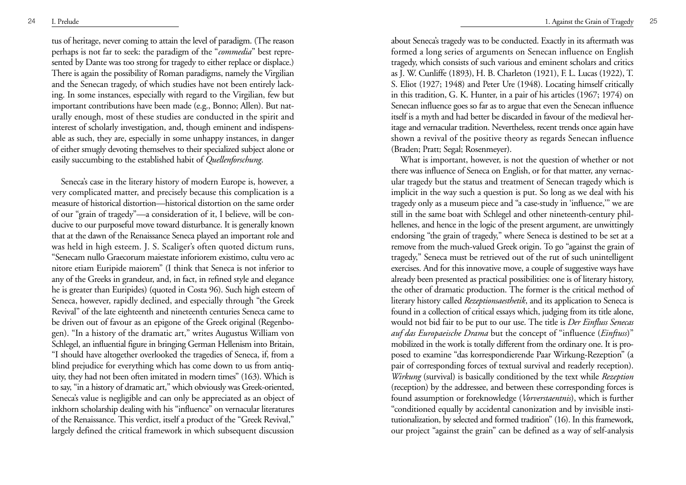tus of heritage, never coming to attain the level of paradigm. (The reason perhaps is not far to seek: the paradigm of the "*commedia*" best represented by Dante was too strong for tragedy to either replace or displace.) There is again the possibility of Roman paradigms, namely the Virgilian and the Senecan tragedy, of which studies have not been entirely lacking. In some instances, especially with regard to the Virgilian, few but important contributions have been made (e.g., Bonno; Allen). But naturally enough, most of these studies are conducted in the spirit and interest of scholarly investigation, and, though eminent and indispensable as such, they are, especially in some unhappy instances, in danger of either smugly devoting themselves to their specialized subject alone or easily succumbing to the established habit of *Quellenforschung*.

Seneca's case in the literary history of modern Europe is, however, a very complicated matter, and precisely because this complication is a measure of historical distortion—historical distortion on the same order of our "grain of tragedy"—a consideration of it, I believe, will be conducive to our purposeful move toward disturbance. It is generally known that at the dawn of the Renaissance Seneca played an important role and was held in high esteem. J. S. Scaliger's often quoted dictum runs, "Senecam nullo Graecorum maiestate inforiorem existimo, cultu vero ac nitore etiam Euripide maiorem" (I think that Seneca is not inferior to any of the Greeks in grandeur, and, in fact, in refined style and elegance he is greater than Euripides) (quoted in Costa 96). Such high esteem of Seneca, however, rapidly declined, and especially through "the Greek Revival" of the late eighteenth and nineteenth centuries Seneca came to be driven out of favour as an epigone of the Greek original (Regenbogen). "In a history of the dramatic art," writes Augustus William von Schlegel, an influential figure in bringing German Hellenism into Britain, "I should have altogether overlooked the tragedies of Seneca, if, from a blind prejudice for everything which has come down to us from antiquity, they had not been often imitated in modern times" (163). Which is to say, "in a history of dramatic art," which obviously was Greek-oriented, Seneca's value is negligible and can only be appreciated as an object of inkhorn scholarship dealing with his "influence" on vernacular literatures of the Renaissance. This verdict, itself a product of the "Greek Revival," largely defined the critical framework in which subsequent discussion

about Seneca's tragedy was to be conducted. Exactly in its aftermath was formed a long series of arguments on Senecan influence on English tragedy, which consists of such various and eminent scholars and critics as J. W. Cunliffe (1893), H. B. Charleton (1921), F. L. Lucas (1922), T. S. Eliot (1927; 1948) and Peter Ure (1948). Locating himself critically in this tradition, G. K. Hunter, in a pair of his articles (1967; 1974) on Senecan influence goes so far as to argue that even the Senecan influence itself is a myth and had better be discarded in favour of the medieval heritage and vernacular tradition. Nevertheless, recent trends once again have shown a revival of the positive theory as regards Senecan influence (Braden; Pratt; Segal; Rosenmeyer).

What is important, however, is not the question of whether or not there was influence of Seneca on English, or for that matter, any vernacular tragedy but the status and treatment of Senecan tragedy which is implicit in the way such a question is put. So long as we deal with his tragedy only as a museum piece and "a case-study in 'influence,'" we are still in the same boat with Schlegel and other nineteenth-century philhellenes, and hence in the logic of the present argument, are unwittingly endorsing "the grain of tragedy," where Seneca is destined to be set at a remove from the much-valued Greek origin. To go "against the grain of tragedy," Seneca must be retrieved out of the rut of such unintelligent exercises. And for this innovative move, a couple of suggestive ways have already been presented as practical possibilities: one is of literary history, the other of dramatic production. The former is the critical method of literary history called *Rezeptionsaesthetik*, and its application to Seneca is found in a collection of critical essays which, judging from its title alone, would not bid fair to be put to our use. The title is *Der Einfluss Senecas auf das Europaeische Drama* but the concept of "influence ( *Einftuss*)" mobilized in the work is totally different from the ordinary one. It is proposed to examine "das korrespondierende Paar Wirkung-Rezeption" (a pair of corresponding forces of textual survival and readerly reception). *Wirkung* (survival) is basically conditioned by the text while *Rezeption* (reception) by the addressee, and between these corresponding forces is found assumption or foreknowledge (*Vorverstaentnis*), which is further "conditioned equally by accidental canonization and by invisible institutionalization, by selected and formed tradition" (16). In this framework, our project "against the grain" can be defined as a way of self-analysis